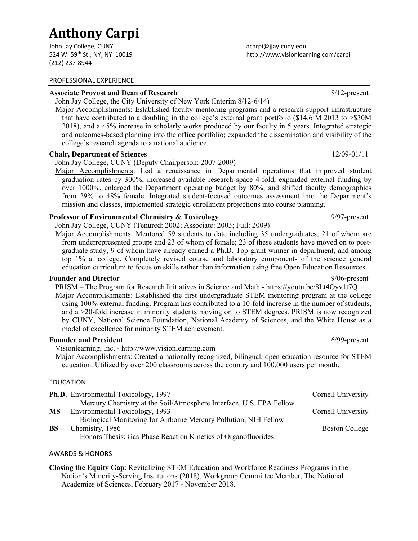# **Anthony Carpi**

John Jay College, CUNY 524 W. 59th St., NY, NY 10019 (212) 237‐8944

#### PROFESSIONAL EXPERIENCE

#### **Associate Provost and Dean of Research** 8/12-present

John Jay College, the City University of New York (Interim 8/12-6/14)

Major Accomplishments: Established faculty mentoring programs and a research support infrastructure that have contributed to a doubling in the college's external grant portfolio (\$14.6 M 2013 to >\$30M 2018), and a 45% increase in scholarly works produced by our faculty in 5 years. Integrated strategic and outcomes-based planning into the office portfolio; expanded the dissemination and visibility of the college's research agenda to a national audience.

## **Chair, Department of Sciences** 12/09-01/11

John Jay College, CUNY (Deputy Chairperson: 2007-2009)

Major Accomplishments: Led a renaissance in Departmental operations that improved student graduation rates by 300%, increased available research space 4-fold, expanded external funding by over 1000%, enlarged the Department operating budget by 80%, and shifted faculty demographics from 29% to 48% female. Integrated student-focused outcomes assessment into the Department's mission and classes, implemented strategic enrollment projections into course planning.

## **Professor of Environmental Chemistry & Toxicology** 9/97-present

John Jay College, CUNY (Tenured: 2002; Associate: 2003; Full: 2009)

Major Accomplishments: Mentored 59 students to date including 35 undergraduates, 21 of whom are from underrepresented groups and 23 of whom of female; 23 of these students have moved on to postgraduate study, 9 of whom have already earned a Ph.D. Top grant winner in department, and among top 1% at college. Completely revised course and laboratory components of the science general education curriculum to focus on skills rather than information using free Open Education Resources.

# **Founder and Director** 80 **Properties** 8 **Properties** 8 **Properties** 8 **Properties** 8 **Properties** 8 **Properties** 8 **Properties** 8 **Properties** 8 **Properties** 8 **Properties** 8 **Properties** 8 **Properties** 8 **Properties** 8

PRISM – The Program for Research Initiatives in Science and Math - https://youtu.be/8Lt4Oyv1t7Q

Major Accomplishments: Established the first undergraduate STEM mentoring program at the college using 100% external funding. Program has contributed to a 10-fold increase in the number of students, and a >20-fold increase in minority students moving on to STEM degrees. PRISM is now recognized by CUNY, National Science Foundation, National Academy of Sciences, and the White House as a model of excellence for minority STEM achievement.

## **Founder and President** 6/99-present

Visionlearning, Inc. - http://www.visionlearning.com

Major Accomplishments: Created a nationally recognized, bilingual, open education resource for STEM education. Utilized by over 200 classrooms across the country and 100,000 users per month.

#### EDUCATION

|           | <b>Ph.D.</b> Environmental Toxicology, 1997                         | Cornell University    |
|-----------|---------------------------------------------------------------------|-----------------------|
|           | Mercury Chemistry at the Soil/Atmosphere Interface, U.S. EPA Fellow |                       |
| <b>MS</b> | Environmental Toxicology, 1993                                      | Cornell University    |
|           | Biological Monitoring for Airborne Mercury Pollution, NIH Fellow    |                       |
| <b>BS</b> | Chemistry, 1986                                                     | <b>Boston College</b> |
|           | Honors Thesis: Gas-Phase Reaction Kinetics of Organofluorides       |                       |
|           |                                                                     |                       |

#### AWARDS & HONORS

**Closing the Equity Gap**: Revitalizing STEM Education and Workforce Readiness Programs in the Nation's Minority-Serving Institutions (2018), Workgroup Committee Member, The National Academies of Sciences, February 2017 - November 2018.

acarpi@jjay.cuny.edu http://www.visionlearning.com/carpi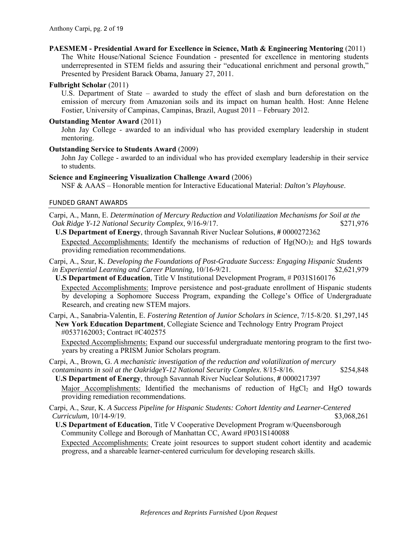# **PAESMEM - Presidential Award for Excellence in Science, Math & Engineering Mentoring** (2011)

The White House/National Science Foundation - presented for excellence in mentoring students underrepresented in STEM fields and assuring their "educational enrichment and personal growth," Presented by President Barack Obama, January 27, 2011.

# **Fulbright Scholar** (2011)

U.S. Department of State – awarded to study the effect of slash and burn deforestation on the emission of mercury from Amazonian soils and its impact on human health. Host: Anne Helene Fostier, University of Campinas, Campinas, Brazil, August 2011 – February 2012.

# **Outstanding Mentor Award** (2011)

John Jay College - awarded to an individual who has provided exemplary leadership in student mentoring.

# **Outstanding Service to Students Award** (2009)

John Jay College - awarded to an individual who has provided exemplary leadership in their service to students.

# **Science and Engineering Visualization Challenge Award** (2006)

NSF & AAAS – Honorable mention for Interactive Educational Material: *Dalton's Playhouse*.

# FUNDED GRANT AWARDS

- Carpi, A., Mann, E. *Determination of Mercury Reduction and Volatilization Mechanisms for Soil at the Oak Ridge Y-12 National Security Complex, 9/16-9/17.* \$271,976
	- **U.S Department of Energy**, through Savannah River Nuclear Solutions, **#** 0000272362 Expected Accomplishments: Identify the mechanisms of reduction of  $Hg(NO<sub>3</sub>)<sub>2</sub>$  and HgS towards providing remediation recommendations.
- Carpi, A., Szur, K. *Developing the Foundations of Post-Graduate Success: Engaging Hispanic Students in Experiential Learning and Career Planning,* 10/16-9/21. \$2,621,979

**U.S Department of Education**, Title V Institutional Development Program, # P031S160176 Expected Accomplishments: Improve persistence and post-graduate enrollment of Hispanic students by developing a Sophomore Success Program, expanding the College's Office of Undergraduate Research, and creating new STEM majors.

Carpi, A., Sanabria-Valentin, E. *Fostering Retention of Junior Scholars in Science*, 7/15-8/20. \$1,297,145 **New York Education Department**, Collegiate Science and Technology Entry Program Project #0537162003; Contract #C402575

Expected Accomplishments: Expand our successful undergraduate mentoring program to the first twoyears by creating a PRISM Junior Scholars program.

Carpi, A., Brown, G. *A mechanistic investigation of the reduction and volatilization of mercury contaminants in soil at the OakridgeY-12 National Security Complex*. 8/15-8/16. \$254,848

**U.S Department of Energy**, through Savannah River Nuclear Solutions, **#** 0000217397 Major Accomplishments: Identified the mechanisms of reduction of  $HgCl<sub>2</sub>$  and HgO towards providing remediation recommendations.

Carpi, A., Szur, K. *A Success Pipeline for Hispanic Students: Cohort Identity and Learner-Centered Curriculum,* 10/14-9/19. **\$3,068.261** 

**U.S Department of Education**, Title V Cooperative Development Program w/Queensborough Community College and Borough of Manhattan CC, Award #P031S140088

Expected Accomplishments: Create joint resources to support student cohort identity and academic progress, and a shareable learner-centered curriculum for developing research skills.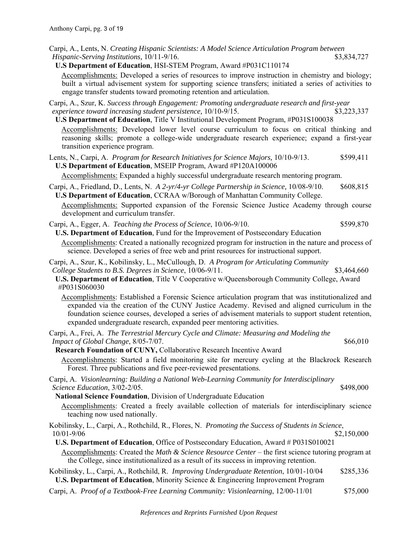- Carpi, A., Lents, N. *Creating Hispanic Scientists: A Model Science Articulation Program between Hispanic-Serving Institutions, 10/11-9/16.*  $\frac{10}{11}$  \$3,834,727
- **U.S Department of Education**, HSI-STEM Program, Award #P031C110174

Accomplishments: Developed a series of resources to improve instruction in chemistry and biology; built a virtual advisement system for supporting science transfers; initiated a series of activities to engage transfer students toward promoting retention and articulation.

Carpi, A., Szur, K. *Success through Engagement: Promoting undergraduate research and first-year experience toward increasing student persistence,* 10/10-9/15. \$3,223,337

**U.S Department of Education**, Title V Institutional Development Program, #P031S100038 Accomplishments: Developed lower level course curriculum to focus on critical thinking and reasoning skills; promote a college-wide undergraduate research experience; expand a first-year transition experience program.

Lents, N., Carpi, A. *Program for Research Initiatives for Science Majors,* 10/10-9/13. \$599,411 **U.S Department of Education**, MSEIP Program, Award #P120A100006

Accomplishments: Expanded a highly successful undergraduate research mentoring program.

Carpi, A., Friedland, D., Lents, N. *A 2-yr/4-yr College Partnership in Science,* 10/08-9/10. \$608,815 **U.S Department of Education**, CCRAA w/Borough of Manhattan Community College.

Accomplishments: Supported expansion of the Forensic Science Justice Academy through course development and curriculum transfer.

Carpi, A., Egger, A. *Teaching the Process of Science*, 10/06-9/10. \$599,870 **U.S. Department of Education**, Fund for the Improvement of Postsecondary Education

Accomplishments: Created a nationally recognized program for instruction in the nature and process of science. Developed a series of free web and print resources for instructional support.

Carpi, A., Szur, K., Kobilinsky, L., McCullough, D. *A Program for Articulating Community College Students to B.S. Degrees in Science*, 10/06-9/11. \$3,464,660

**U.S. Department of Education**, Title V Cooperative w/Queensborough Community College, Award #P031S060030

Accomplishments: Established a Forensic Science articulation program that was institutionalized and expanded via the creation of the CUNY Justice Academy. Revised and aligned curriculum in the foundation science courses, developed a series of advisement materials to support student retention, expanded undergraduate research, expanded peer mentoring activities.

Carpi, A., Frei, A. *The Terrestrial Mercury Cycle and Climate: Measuring and Modeling the Impact of Global Change*, 8/05-7/07. \$66,010

**Research Foundation of CUNY,** Collaborative Research Incentive Award

Accomplishments: Started a field monitoring site for mercury cycling at the Blackrock Research Forest. Three publications and five peer-reviewed presentations.

Carpi, A. *Visionlearning: Building a National Web-Learning Community for Interdisciplinary Science Education*, 3/02-2/05. \$498,000

**National Science Foundation**, Division of Undergraduate Education

Accomplishments: Created a freely available collection of materials for interdisciplinary science teaching now used nationally.

Kobilinsky, L., Carpi, A., Rothchild, R., Flores, N. *Promoting the Success of Students in Science*, 10/01-9/06 \$2,150,000

**U.S. Department of Education**, Office of Postsecondary Education, Award # P031S010021

Accomplishments: Created the *Math & Science Resource Center* – the first science tutoring program at the College, since institutionalized as a result of its success in improving retention.

Kobilinsky, L., Carpi, A., Rothchild, R. *Improving Undergraduate Retention*, 10/01-10/04 \$285,336 **U.S. Department of Education**, Minority Science & Engineering Improvement Program

Carpi, A. *Proof of a Textbook-Free Learning Community: Visionlearning*, 12/00-11/01 \$75,000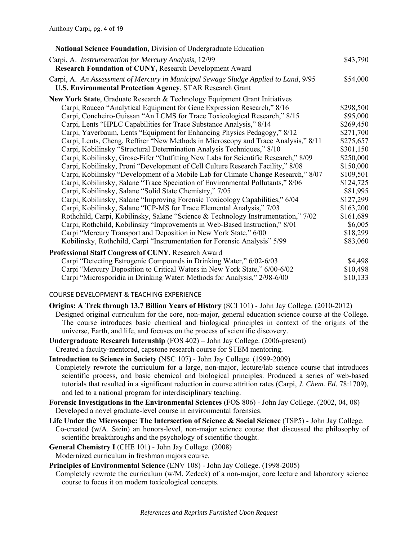| <b>National Science Foundation, Division of Undergraduate Education</b>                                                                                 |           |
|---------------------------------------------------------------------------------------------------------------------------------------------------------|-----------|
| Carpi, A. Instrumentation for Mercury Analysis, 12/99<br>Research Foundation of CUNY, Research Development Award                                        | \$43,790  |
| Carpi, A. An Assessment of Mercury in Municipal Sewage Sludge Applied to Land, 9/95<br><b>U.S. Environmental Protection Agency, STAR Research Grant</b> | \$54,000  |
| New York State, Graduate Research & Technology Equipment Grant Initiatives                                                                              |           |
| Carpi, Rauceo "Analytical Equipment for Gene Expression Research," 8/16                                                                                 | \$298,500 |
| Carpi, Concheiro-Guissan "An LCMS for Trace Toxicological Research," 8/15                                                                               | \$95,000  |
| Carpi, Lents "HPLC Capabilities for Trace Substance Analysis," 8/14                                                                                     | \$269,450 |
| Carpi, Yaverbaum, Lents "Equipment for Enhancing Physics Pedagogy," 8/12                                                                                | \$271,700 |
| Carpi, Lents, Cheng, Reffner "New Methods in Microscopy and Trace Analysis," 8/11                                                                       | \$275,657 |
| Carpi, Kobilinsky "Structural Determination Analysis Techniques," 8/10                                                                                  | \$301,150 |
| Carpi, Kobilinsky, Grose-Fifer "Outfitting New Labs for Scientific Research," 8/09                                                                      | \$250,000 |
| Carpi, Kobilinsky, Proni "Development of Cell Culture Research Facility," 8/08                                                                          | \$150,000 |
| Carpi, Kobilinsky "Development of a Mobile Lab for Climate Change Research," 8/07                                                                       | \$109,501 |
| Carpi, Kobilinsky, Salane "Trace Speciation of Environmental Pollutants," 8/06                                                                          | \$124,725 |
| Carpi, Kobilinsky, Salane "Solid State Chemistry," 7/05                                                                                                 | \$81,995  |
| Carpi, Kobilinsky, Salane "Improving Forensic Toxicology Capabilities," 6/04                                                                            | \$127,299 |
| Carpi, Kobilinsky, Salane "ICP-MS for Trace Elemental Analysis," 7/03                                                                                   | \$163,200 |
| Rothchild, Carpi, Kobilinsky, Salane "Science & Technology Instrumentation," 7/02                                                                       | \$161,689 |
| Carpi, Rothchild, Kobilinsky "Improvements in Web-Based Instruction," 8/01                                                                              | \$6,005   |
| Carpi "Mercury Transport and Deposition in New York State," 6/00                                                                                        | \$18,299  |
| Kobilinsky, Rothchild, Carpi "Instrumentation for Forensic Analysis" 5/99                                                                               | \$83,060  |
| Professional Staff Congress of CUNY, Research Award                                                                                                     |           |
| Carpi "Detecting Estrogenic Compounds in Drinking Water," 6/02-6/03                                                                                     | \$4,498   |
| Carpi "Mercury Deposition to Critical Waters in New York State," 6/00-6/02                                                                              | \$10,498  |
| Carpi "Microsporidia in Drinking Water: Methods for Analysis," 2/98-6/00                                                                                | \$10,133  |

# COURSE DEVELOPMENT & TEACHING EXPERIENCE

**Origins: A Trek through 13.7 Billion Years of History** (SCI 101) - John Jay College. (2010-2012)

- Designed original curriculum for the core, non-major, general education science course at the College. The course introduces basic chemical and biological principles in context of the origins of the universe, Earth, and life, and focuses on the process of scientific discovery.
- **Undergraduate Research Internship** (FOS 402) John Jay College. (2006-present) Created a faculty-mentored, capstone research course for STEM mentoring.
- **Introduction to Science in Society** (NSC 107) John Jay College. (1999-2009)
- Completely rewrote the curriculum for a large, non-major, lecture/lab science course that introduces scientific process, and basic chemical and biological principles. Produced a series of web-based tutorials that resulted in a significant reduction in course attrition rates (Carpi, *J. Chem. Ed.* 78:1709), and led to a national program for interdisciplinary teaching.
- **Forensic Investigations in the Environmental Sciences** (FOS 806) John Jay College. (2002, 04, 08) Developed a novel graduate-level course in environmental forensics.
- **Life Under the Microscope: The Intersection of Science & Social Science** (TSP5) John Jay College. Co-created (w/A. Stein) an honors-level, non-major science course that discussed the philosophy of scientific breakthroughs and the psychology of scientific thought.
- **General Chemistry I** (CHE 101) John Jay College. (2008) Modernized curriculum in freshman majors course.
- **Principles of Environmental Science** (ENV 108) John Jay College. (1998-2005)
- Completely rewrote the curriculum (w/M. Zedeck) of a non-major, core lecture and laboratory science course to focus it on modern toxicological concepts.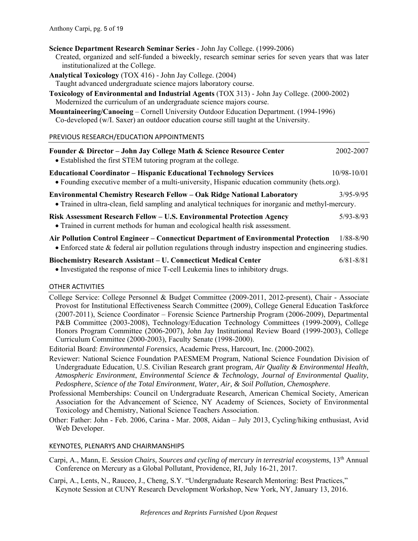- **Science Department Research Seminar Series** John Jay College. (1999-2006) Created, organized and self-funded a biweekly, research seminar series for seven years that was later
- institutionalized at the College.
- **Analytical Toxicology** (TOX 416) John Jay College. (2004)
- Taught advanced undergraduate science majors laboratory course.
- **Toxicology of Environmental and Industrial Agents** (TOX 313) John Jay College. (2000-2002) Modernized the curriculum of an undergraduate science majors course.
- **Mountaineering/Canoeing** Cornell University Outdoor Education Department. (1994-1996) Co-developed (w/I. Saxer) an outdoor education course still taught at the University.

# PREVIOUS RESEARCH/EDUCATION APPOINTMENTS

| Founder & Director - John Jay College Math & Science Resource Center<br>• Established the first STEM tutoring program at the college.                                                                    | 2002-2007       |
|----------------------------------------------------------------------------------------------------------------------------------------------------------------------------------------------------------|-----------------|
| <b>Educational Coordinator – Hispanic Educational Technology Services</b><br>• Founding executive member of a multi-university, Hispanic education community (hets.org).                                 | $10/98 - 10/01$ |
| <b>Environmental Chemistry Research Fellow – Oak Ridge National Laboratory</b><br>• Trained in ultra-clean, field sampling and analytical techniques for inorganic and methyl-mercury.                   | $3/95 - 9/95$   |
| Risk Assessment Research Fellow – U.S. Environmental Protection Agency<br>• Trained in current methods for human and ecological health risk assessment.                                                  | $5/93 - 8/93$   |
| Air Pollution Control Engineer – Connecticut Department of Environmental Protection<br>$\bullet$ Enforced state & federal air pollution regulations through industry inspection and engineering studies. | $1/88 - 8/90$   |
| <b>Biochemistry Research Assistant – U. Connecticut Medical Center</b><br>• Investigated the response of mice T-cell Leukemia lines to inhibitory drugs.                                                 | $6/81 - 8/81$   |

## OTHER ACTIVITIES

College Service: College Personnel & Budget Committee (2009-2011, 2012-present), Chair - Associate Provost for Institutional Effectiveness Search Committee (2009), College General Education Taskforce (2007-2011), Science Coordinator – Forensic Science Partnership Program (2006-2009), Departmental P&B Committee (2003-2008), Technology/Education Technology Committees (1999-2009), College Honors Program Committee (2006-2007), John Jay Institutional Review Board (1999-2003), College Curriculum Committee (2000-2003), Faculty Senate (1998-2000).

Editorial Board: *Environmental Forensics*, Academic Press, Harcourt, Inc. (2000-2002).

- Reviewer: National Science Foundation PAESMEM Program, National Science Foundation Division of Undergraduate Education, U.S. Civilian Research grant program, *Air Quality & Environmental Health*, *Atmospheric Environment*, *Environmental Science & Technology*, *Journal of Environmental Quality*, *Pedosphere*, *Science of the Total Environment*, *Water, Air, & Soil Pollution, Chemosphere*.
- Professional Memberships: Council on Undergraduate Research, American Chemical Society, American Association for the Advancement of Science, NY Academy of Sciences, Society of Environmental Toxicology and Chemistry, National Science Teachers Association.
- Other: Father: John Feb. 2006, Carina Mar. 2008, Aidan July 2013, Cycling/hiking enthusiast, Avid Web Developer.

# KEYNOTES, PLENARYS AND CHAIRMANSHIPS

- Carpi, A., Mann, E. *Session Chairs, Sources and cycling of mercury in terrestrial ecosystems*, 13th Annual Conference on Mercury as a Global Pollutant, Providence, RI, July 16-21, 2017.
- Carpi, A., Lents, N., Rauceo, J., Cheng, S.Y. "Undergraduate Research Mentoring: Best Practices," Keynote Session at CUNY Research Development Workshop, New York, NY, January 13, 2016.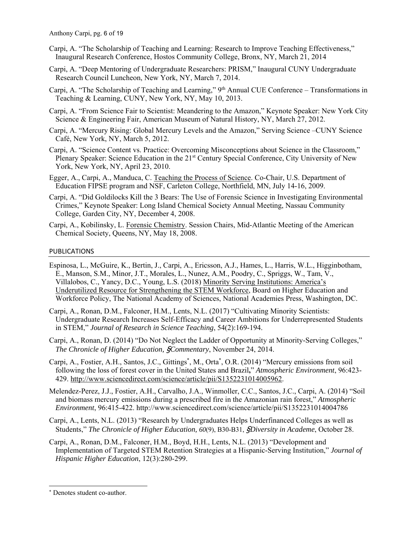- Carpi, A. "The Scholarship of Teaching and Learning: Research to Improve Teaching Effectiveness," Inaugural Research Conference, Hostos Community College, Bronx, NY, March 21, 2014
- Carpi, A. "Deep Mentoring of Undergraduate Researchers: PRISM," Inaugural CUNY Undergraduate Research Council Luncheon, New York, NY, March 7, 2014.
- Carpi, A. "The Scholarship of Teaching and Learning," 9<sup>th</sup> Annual CUE Conference Transformations in Teaching & Learning, CUNY, New York, NY, May 10, 2013.
- Carpi, A. "From Science Fair to Scientist: Meandering to the Amazon," Keynote Speaker: New York City Science & Engineering Fair, American Museum of Natural History, NY, March 27, 2012.
- Carpi, A. "Mercury Rising: Global Mercury Levels and the Amazon," Serving Science –CUNY Science Café, New York, NY, March 5, 2012.
- Carpi, A. "Science Content vs. Practice: Overcoming Misconceptions about Science in the Classroom," Plenary Speaker: Science Education in the 21st Century Special Conference, City University of New York, New York, NY, April 23, 2010.
- Egger, A., Carpi, A., Manduca, C. Teaching the Process of Science. Co-Chair, U.S. Department of Education FIPSE program and NSF, Carleton College, Northfield, MN, July 14-16, 2009.
- Carpi, A. "Did Goldilocks Kill the 3 Bears: The Use of Forensic Science in Investigating Environmental Crimes," Keynote Speaker: Long Island Chemical Society Annual Meeting, Nassau Community College, Garden City, NY, December 4, 2008.
- Carpi, A., Kobilinsky, L. Forensic Chemistry. Session Chairs, Mid-Atlantic Meeting of the American Chemical Society, Queens, NY, May 18, 2008.

# PUBLICATIONS

- Espinosa, L., McGuire, K., Bertin, J., Carpi, A., Ericsson, A.J., Hames, L., Harris, W.L., Higginbotham, E., Manson, S.M., Minor, J.T., Morales, L., Nunez, A.M., Poodry, C., Spriggs, W., Tam, V., Villalobos, C., Yancy, D.C., Young, L.S. (2018) Minority Serving Institutions: America's Underutilized Resource for Strengthening the STEM Workforce, Board on Higher Education and Workforce Policy, The National Academy of Sciences, National Academies Press, Washington, DC.
- Carpi, A., Ronan, D.M., Falconer, H.M., Lents, N.L. (2017) "Cultivating Minority Scientists: Undergraduate Research Increases Self-Efficacy and Career Ambitions for Underrepresented Students in STEM," *Journal of Research in Science Teaching*, 54(2):169-194.
- Carpi, A., Ronan, D. (2014) "Do Not Neglect the Ladder of Opportunity at Minority-Serving Colleges," *The Chronicle of Higher Education,* §*Commentary*, November 24, 2014.
- Carpi, A., Fostier, A.H., Santos, J.C., Gittings<sup>\*</sup>, M., Orta<sup>\*</sup>, O.R. (2014) "Mercury emissions from soil following the loss of forest cover in the United States and Brazil**,**" *Atmospheric Environment*, 96:423- 429. http://www.sciencedirect.com/science/article/pii/S1352231014005962.
- Melendez-Perez, J.J., Fostier, A.H., Carvalho, J.A., Winmoller, C.C., Santos, J.C., Carpi, A. (2014) "Soil and biomass mercury emissions during a prescribed fire in the Amazonian rain forest," *Atmospheric Environment*, 96:415-422. http://www.sciencedirect.com/science/article/pii/S1352231014004786
- Carpi, A., Lents, N.L. (2013) "Research by Undergraduates Helps Underfinanced Colleges as well as Students," *The Chronicle of Higher Education, 60*(9), B30-B31, §*Diversity in Academe*, October 28.
- Carpi, A., Ronan, D.M., Falconer, H.M., Boyd, H.H., Lents, N.L. (2013) "Development and Implementation of Targeted STEM Retention Strategies at a Hispanic-Serving Institution," *Journal of Hispanic Higher Education*, 12(3):280-299.

 $\overline{\phantom{a}}$ 

<sup>\*</sup> Denotes student co-author.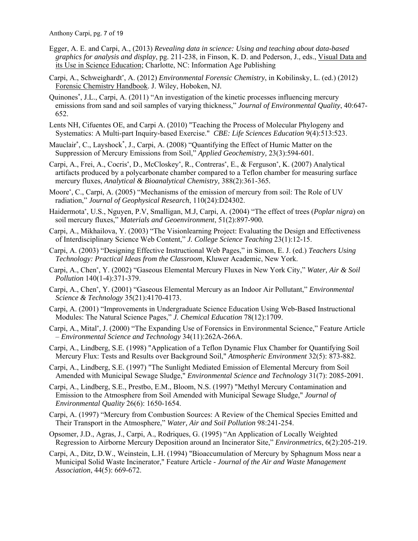- Egger, A. E. and Carpi, A., (2013) *Revealing data in science: Using and teaching about data-based graphics for analysis and display*, pg. 211-238, in Finson, K. D. and Pederson, J., eds., Visual Data and its Use in Science Education; Charlotte, NC: Information Age Publishing
- Carpi, A., Schweighardt\*, A. (2012) *Environmental Forensic Chemistry*, in Kobilinsky, L. (ed.) (2012) Forensic Chemistry Handbook. J. Wiley, Hoboken, NJ*.*
- Quinones**\***, J.L., Carpi, A. (2011) "An investigation of the kinetic processes influencing mercury emissions from sand and soil samples of varying thickness," *Journal of Environmental Quality*, 40:647- 652.
- Lents NH, Cifuentes OE, and Carpi A. (2010) "Teaching the Process of Molecular Phylogeny and Systematics: A Multi-part Inquiry-based Exercise." *CBE: Life Sciences Education* 9(4):513:523.
- Mauclair<sup>\*</sup>, C., Layshock<sup>\*</sup>, J., Carpi, A. (2008) "Quantifying the Effect of Humic Matter on the Suppression of Mercury Emissions from Soil," *Applied Geochemistry,* 23(3):594-601*.*
- Carpi, A., Frei, A., Cocris**\***, D., McCloskey**\***, R., Contreras**\***, E., & Ferguson**\***, K. (2007) Analytical artifacts produced by a polycarbonate chamber compared to a Teflon chamber for measuring surface mercury fluxes, *Analytical & Bioanalytical Chemistry,* 388(2):361-365*.*
- Moore**\***, C., Carpi, A. (2005) "Mechanisms of the emission of mercury from soil: The Role of UV radiation," *Journal of Geophysical Research*, 110(24):D24302.
- Haidermota**\***, U.S., Nguyen, P.V, Smalligan, M.J, Carpi, A. (2004) "The effect of trees (*Poplar nigra*) on soil mercury fluxes," *Materials and Geoenvironment*, 51(2):897-900*.*
- Carpi, A., Mikhailova, Y. (2003) "The Visionlearning Project: Evaluating the Design and Effectiveness of Interdisciplinary Science Web Content," *J. College Science Teaching* 23(1):12-15.
- Carpi, A. (2003) "Designing Effective Instructional Web Pages," in Simon, E. J. (ed.) *Teachers Using Technology: Practical Ideas from the Classroom*, Kluwer Academic, New York.
- Carpi, A., Chen**\***, Y. (2002) "Gaseous Elemental Mercury Fluxes in New York City," *Water, Air & Soil Pollution* 140(1-4):371-379.
- Carpi, A., Chen**\***, Y. (2001) "Gaseous Elemental Mercury as an Indoor Air Pollutant," *Environmental Science & Technology* 35(21):4170-4173.
- Carpi, A. (2001) "Improvements in Undergraduate Science Education Using Web-Based Instructional Modules: The Natural Science Pages," *J. Chemical Education* 78(12):1709.
- Carpi, A., Mital**\***, J. (2000) "The Expanding Use of Forensics in Environmental Science," Feature Article – *Environmental Science and Technology* 34(11):262A-266A.
- Carpi, A., Lindberg, S.E. (1998) "Application of a Teflon Dynamic Flux Chamber for Quantifying Soil Mercury Flux: Tests and Results over Background Soil," *Atmospheric Environment* 32(5): 873-882.
- Carpi, A., Lindberg, S.E. (1997) "The Sunlight Mediated Emission of Elemental Mercury from Soil Amended with Municipal Sewage Sludge," *Environmental Science and Technology* 31(7): 2085-2091*.*
- Carpi, A., Lindberg, S.E., Prestbo, E.M., Bloom, N.S. (1997) "Methyl Mercury Contamination and Emission to the Atmosphere from Soil Amended with Municipal Sewage Sludge," *Journal of Environmental Quality* 26(6): 1650-1654.
- Carpi, A. (1997) "Mercury from Combustion Sources: A Review of the Chemical Species Emitted and Their Transport in the Atmosphere," *Water, Air and Soil Pollution* 98:241-254.
- Opsomer, J.D., Agras, J., Carpi, A., Rodriques, G. (1995) "An Application of Locally Weighted Regression to Airborne Mercury Deposition around an Incinerator Site," *Environmetrics*, 6(2):205-219.
- Carpi, A., Ditz, D.W., Weinstein, L.H. (1994) "Bioaccumulation of Mercury by Sphagnum Moss near a Municipal Solid Waste Incinerator," Feature Article - *Journal of the Air and Waste Management Association*, 44(5): 669-672.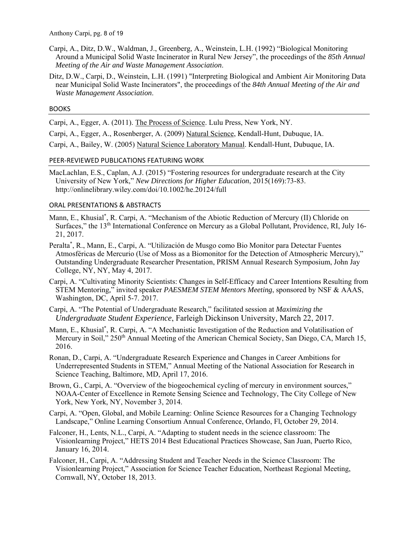- Carpi, A., Ditz, D.W., Waldman, J., Greenberg, A., Weinstein, L.H. (1992) "Biological Monitoring Around a Municipal Solid Waste Incinerator in Rural New Jersey", the proceedings of the *85th Annual Meeting of the Air and Waste Management Association*.
- Ditz, D.W., Carpi, D., Weinstein, L.H. (1991) "Interpreting Biological and Ambient Air Monitoring Data near Municipal Solid Waste Incinerators", the proceedings of the *84th Annual Meeting of the Air and Waste Management Association*.

# BOOKS

Carpi, A., Egger, A. (2011). The Process of Science. Lulu Press, New York, NY.

Carpi, A., Egger, A., Rosenberger, A. (2009) Natural Science, Kendall-Hunt, Dubuque, IA.

Carpi, A., Bailey, W. (2005) Natural Science Laboratory Manual. Kendall-Hunt, Dubuque, IA.

# PEER‐REVIEWED PUBLICATIONS FEATURING WORK

MacLachlan, E.S., Caplan, A.J. (2015) "Fostering resources for undergraduate research at the City University of New York," *New Directions for Higher Education*, 2015(169):73-83. http://onlinelibrary.wiley.com/doi/10.1002/he.20124/full

# ORAL PRESENTATIONS & ABSTRACTS

- Mann, E., Khusial\* , R. Carpi, A. "Mechanism of the Abiotic Reduction of Mercury (II) Chloride on Surfaces," the 13<sup>th</sup> International Conference on Mercury as a Global Pollutant, Providence, RI, July 16-21, 2017.
- Peralta\* , R., Mann, E., Carpi, A. "Utilización de Musgo como Bio Monitor para Detectar Fuentes Atmosféricas de Mercurio (Use of Moss as a Biomonitor for the Detection of Atmospheric Mercury)," Outstanding Undergraduate Researcher Presentation, PRISM Annual Research Symposium, John Jay College, NY, NY, May 4, 2017.
- Carpi, A. "Cultivating Minority Scientists: Changes in Self-Efficacy and Career Intentions Resulting from STEM Mentoring*,*" invited speaker *PAESMEM STEM Mentors Meeting*, sponsored by NSF & AAAS, Washington, DC, April 5-7. 2017.
- Carpi, A. "The Potential of Undergraduate Research," facilitated session at *Maximizing the Undergraduate Student Experience*, Farleigh Dickinson University, March 22, 2017.
- Mann, E., Khusial\* , R. Carpi, A. "A Mechanistic Investigation of the Reduction and Volatilisation of Mercury in Soil," 250<sup>th</sup> Annual Meeting of the American Chemical Society, San Diego, CA, March 15, 2016.
- Ronan, D., Carpi, A. "Undergraduate Research Experience and Changes in Career Ambitions for Underrepresented Students in STEM," Annual Meeting of the National Association for Research in Science Teaching, Baltimore, MD, April 17, 2016.
- Brown, G., Carpi, A. "Overview of the biogeochemical cycling of mercury in environment sources," NOAA-Center of Excellence in Remote Sensing Science and Technology, The City College of New York, New York, NY, November 3, 2014.
- Carpi, A. "Open, Global, and Mobile Learning: Online Science Resources for a Changing Technology Landscape," Online Learning Consortium Annual Conference, Orlando, Fl, October 29, 2014.
- Falconer, H., Lents, N.L., Carpi, A. "Adapting to student needs in the science classroom: The Visionlearning Project," HETS 2014 Best Educational Practices Showcase, San Juan, Puerto Rico, January 16, 2014.
- Falconer, H., Carpi, A. "Addressing Student and Teacher Needs in the Science Classroom: The Visionlearning Project," Association for Science Teacher Education, Northeast Regional Meeting, Cornwall, NY, October 18, 2013.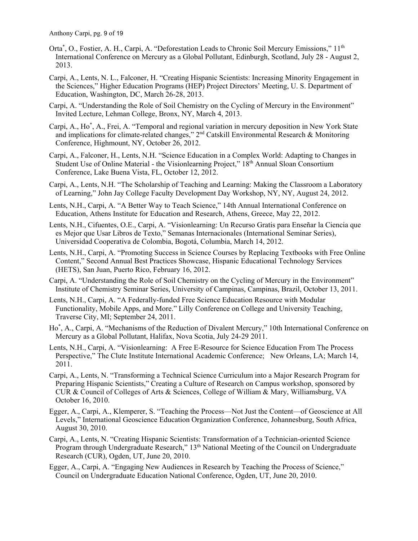- Orta<sup>\*</sup>, O., Fostier, A. H., Carpi, A. "Deforestation Leads to Chronic Soil Mercury Emissions," 11<sup>th</sup> International Conference on Mercury as a Global Pollutant, Edinburgh, Scotland, July 28 - August 2, 2013.
- Carpi, A., Lents, N. L., Falconer, H. "Creating Hispanic Scientists: Increasing Minority Engagement in the Sciences," Higher Education Programs (HEP) Project Directors' Meeting, U. S. Department of Education, Washington, DC, March 26-28, 2013.
- Carpi, A. "Understanding the Role of Soil Chemistry on the Cycling of Mercury in the Environment" Invited Lecture, Lehman College, Bronx, NY, March 4, 2013.
- Carpi, A., Ho<sup>\*</sup>, A., Frei, A. "Temporal and regional variation in mercury deposition in New York State and implications for climate-related changes,"  $2<sup>nd</sup>$  Catskill Environmental Research & Monitoring Conference, Highmount, NY, October 26, 2012.
- Carpi, A., Falconer, H., Lents, N.H. "Science Education in a Complex World: Adapting to Changes in Student Use of Online Material - the Visionlearning Project," 18<sup>th</sup> Annual Sloan Consortium Conference, Lake Buena Vista, FL, October 12, 2012.
- Carpi, A., Lents, N.H. "The Scholarship of Teaching and Learning: Making the Classroom a Laboratory of Learning," John Jay College Faculty Development Day Workshop, NY, NY, August 24, 2012.
- Lents, N.H., Carpi, A. "A Better Way to Teach Science," 14th Annual International Conference on Education, Athens Institute for Education and Research, Athens, Greece, May 22, 2012.
- Lents, N.H., Cifuentes, O.E., Carpi, A. "Visionlearning: Un Recurso Gratis para Enseñar la Ciencia que es Mejor que Usar Libros de Texto," Semanas Internacionales (International Seminar Series), Universidad Cooperativa de Colombia, Bogotá, Columbia, March 14, 2012.
- Lents, N.H., Carpi, A. "Promoting Success in Science Courses by Replacing Textbooks with Free Online Content," Second Annual Best Practices Showcase, Hispanic Educational Technology Services (HETS), San Juan, Puerto Rico, February 16, 2012.
- Carpi, A. "Understanding the Role of Soil Chemistry on the Cycling of Mercury in the Environment" Institute of Chemistry Seminar Series, University of Campinas, Campinas, Brazil, October 13, 2011.
- Lents, N.H., Carpi, A. "A Federally-funded Free Science Education Resource with Modular Functionality, Mobile Apps, and More." Lilly Conference on College and University Teaching, Traverse City, MI; September 24, 2011.
- Ho\* , A., Carpi, A. "Mechanisms of the Reduction of Divalent Mercury," 10th International Conference on Mercury as a Global Pollutant, Halifax, Nova Scotia, July 24-29 2011.
- Lents, N.H., Carpi, A. "Visionlearning: A Free E-Resource for Science Education From The Process Perspective," The Clute Institute International Academic Conference; New Orleans, LA; March 14, 2011.
- Carpi, A., Lents, N. "Transforming a Technical Science Curriculum into a Major Research Program for Preparing Hispanic Scientists," Creating a Culture of Research on Campus workshop, sponsored by CUR & Council of Colleges of Arts & Sciences, College of William & Mary, Williamsburg, VA October 16, 2010.
- Egger, A., Carpi, A., Klemperer, S. "Teaching the Process—Not Just the Content—of Geoscience at All Levels," International Geoscience Education Organization Conference, Johannesburg, South Africa, August 30, 2010.
- Carpi, A., Lents, N. "Creating Hispanic Scientists: Transformation of a Technician-oriented Science Program through Undergraduate Research," 13<sup>th</sup> National Meeting of the Council on Undergraduate Research (CUR), Ogden, UT, June 20, 2010.
- Egger, A., Carpi, A. "Engaging New Audiences in Research by Teaching the Process of Science," Council on Undergraduate Education National Conference, Ogden, UT, June 20, 2010.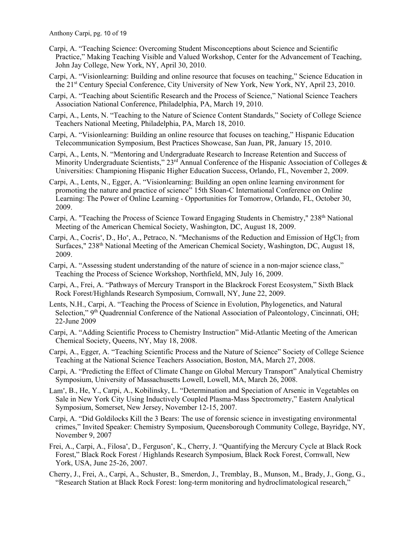- Carpi, A. "Teaching Science: Overcoming Student Misconceptions about Science and Scientific Practice," Making Teaching Visible and Valued Workshop, Center for the Advancement of Teaching, John Jay College, New York, NY, April 30, 2010.
- Carpi, A. "Visionlearning: Building and online resource that focuses on teaching," Science Education in the 21st Century Special Conference, City University of New York, New York, NY, April 23, 2010.
- Carpi, A. "Teaching about Scientific Research and the Process of Science," National Science Teachers Association National Conference, Philadelphia, PA, March 19, 2010.
- Carpi, A., Lents, N. "Teaching to the Nature of Science Content Standards," Society of College Science Teachers National Meeting, Philadelphia, PA, March 18, 2010.
- Carpi, A. "Visionlearning: Building an online resource that focuses on teaching," Hispanic Education Telecommunication Symposium, Best Practices Showcase, San Juan, PR, January 15, 2010.
- Carpi, A., Lents, N. "Mentoring and Undergraduate Research to Increase Retention and Success of Minority Undergraduate Scientists,"  $23<sup>rd</sup>$  Annual Conference of the Hispanic Association of Colleges & Universities: Championing Hispanic Higher Education Success, Orlando, FL, November 2, 2009.
- Carpi, A., Lents, N., Egger, A. "Visionlearning: Building an open online learning environment for promoting the nature and practice of science" 15th Sloan-C International Conference on Online Learning: The Power of Online Learning - Opportunities for Tomorrow, Orlando, FL, October 30, 2009.
- Carpi, A. "Teaching the Process of Science Toward Engaging Students in Chemistry," 238<sup>th</sup> National Meeting of the American Chemical Society, Washington, DC, August 18, 2009.
- Carpi, A., Cocris<sup>\*</sup>, D., Ho<sup>\*</sup>, A., Petraco, N. "Mechanisms of the Reduction and Emission of HgCl<sub>2</sub> from Surfaces," 238<sup>th</sup> National Meeting of the American Chemical Society, Washington, DC, August 18, 2009.
- Carpi, A. "Assessing student understanding of the nature of science in a non-major science class," Teaching the Process of Science Workshop, Northfield, MN, July 16, 2009.
- Carpi, A., Frei, A. "Pathways of Mercury Transport in the Blackrock Forest Ecosystem," Sixth Black Rock Forest/Highlands Research Symposium, Cornwall, NY, June 22, 2009.
- Lents, N.H., Carpi, A. "Teaching the Process of Science in Evolution, Phylogenetics, and Natural Selection," 9<sup>th</sup> Quadrennial Conference of the National Association of Paleontology, Cincinnati, OH; 22-June 2009
- Carpi, A. "Adding Scientific Process to Chemistry Instruction" Mid-Atlantic Meeting of the American Chemical Society, Queens, NY, May 18, 2008.
- Carpi, A., Egger, A. "Teaching Scientific Process and the Nature of Science" Society of College Science Teaching at the National Science Teachers Association, Boston, MA, March 27, 2008.
- Carpi, A. "Predicting the Effect of Climate Change on Global Mercury Transport" Analytical Chemistry Symposium, University of Massachusetts Lowell, Lowell, MA, March 26, 2008.
- Lam**\***, B., He, Y., Carpi, A., Kobilinsky, L. "Determination and Speciation of Arsenic in Vegetables on Sale in New York City Using Inductively Coupled Plasma-Mass Spectrometry," Eastern Analytical Symposium, Somerset, New Jersey, November 12-15, 2007.
- Carpi, A. "Did Goldilocks Kill the 3 Bears: The use of forensic science in investigating environmental crimes," Invited Speaker: Chemistry Symposium, Queensborough Community College, Bayridge, NY, November 9, 2007
- Frei, A., Carpi, A., Filosa**\***, D., Ferguson**\***, K., Cherry, J. "Quantifying the Mercury Cycle at Black Rock Forest," Black Rock Forest / Highlands Research Symposium, Black Rock Forest, Cornwall, New York, USA, June 25-26, 2007.
- Cherry, J., Frei, A., Carpi, A., Schuster, B., Smerdon, J., Tremblay, B., Munson, M., Brady, J., Gong, G., "Research Station at Black Rock Forest: long-term monitoring and hydroclimatological research,"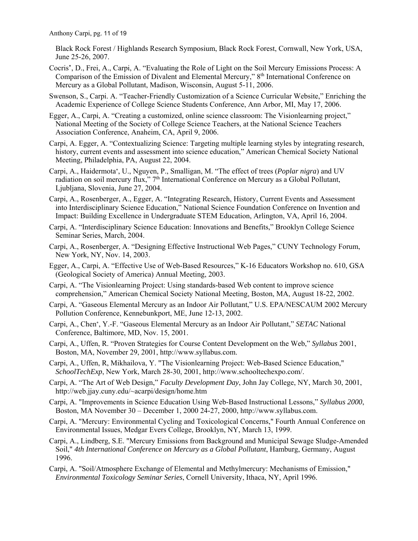Black Rock Forest / Highlands Research Symposium, Black Rock Forest, Cornwall, New York, USA, June 25-26, 2007.

- Cocris**\***, D., Frei, A., Carpi, A. "Evaluating the Role of Light on the Soil Mercury Emissions Process: A Comparison of the Emission of Divalent and Elemental Mercury," 8th International Conference on Mercury as a Global Pollutant, Madison, Wisconsin, August 5-11, 2006.
- Swenson, S., Carpi. A. "Teacher-Friendly Customization of a Science Curricular Website," Enriching the Academic Experience of College Science Students Conference, Ann Arbor, MI, May 17, 2006.
- Egger, A., Carpi, A. "Creating a customized, online science classroom: The Visionlearning project," National Meeting of the Society of College Science Teachers, at the National Science Teachers Association Conference, Anaheim, CA, April 9, 2006.
- Carpi, A. Egger, A. "Contextualizing Science: Targeting multiple learning styles by integrating research, history, current events and assessment into science education," American Chemical Society National Meeting, Philadelphia, PA, August 22, 2004.
- Carpi, A., Haidermota**\***, U., Nguyen, P., Smalligan, M. "The effect of trees (*Poplar nigra*) and UV radiation on soil mercury flux," 7<sup>th</sup> International Conference on Mercury as a Global Pollutant, Ljubljana, Slovenia, June 27, 2004.
- Carpi, A., Rosenberger, A., Egger, A. "Integrating Research, History, Current Events and Assessment into Interdisciplinary Science Education," National Science Foundation Conference on Invention and Impact: Building Excellence in Undergraduate STEM Education, Arlington, VA, April 16, 2004.
- Carpi, A. "Interdisciplinary Science Education: Innovations and Benefits," Brooklyn College Science Seminar Series, March, 2004.
- Carpi, A., Rosenberger, A. "Designing Effective Instructional Web Pages," CUNY Technology Forum, New York, NY, Nov. 14, 2003.
- Egger, A., Carpi, A. "Effective Use of Web-Based Resources," K-16 Educators Workshop no. 610, GSA (Geological Society of America) Annual Meeting, 2003.
- Carpi, A. "The Visionlearning Project: Using standards-based Web content to improve science comprehension," American Chemical Society National Meeting, Boston, MA, August 18-22, 2002.
- Carpi, A. "Gaseous Elemental Mercury as an Indoor Air Pollutant," U.S. EPA/NESCAUM 2002 Mercury Pollution Conference, Kennebunkport, ME, June 12-13, 2002.
- Carpi, A., Chen**\***, Y.-F. "Gaseous Elemental Mercury as an Indoor Air Pollutant," *SETAC* National Conference, Baltimore, MD, Nov. 15, 2001.
- Carpi, A., Uffen, R. "Proven Strategies for Course Content Development on the Web," *Syllabus* 2001, Boston, MA, November 29, 2001, http://www.syllabus.com.
- Carpi, A., Uffen, R, Mikhailova, Y. "The Visionlearning Project: Web-Based Science Education," *SchoolTechExp*, New York, March 28-30, 2001, http://www.schooltechexpo.com/.
- Carpi, A. "The Art of Web Design," *Faculty Development Day*, John Jay College, NY, March 30, 2001, http://web.jjay.cuny.edu/~acarpi/design/home.htm
- Carpi, A. "Improvements in Science Education Using Web-Based Instructional Lessons," *Syllabus 2000*, Boston, MA November 30 – December 1, 2000 24-27, 2000, http://www.syllabus.com.
- Carpi, A. "Mercury: Environmental Cycling and Toxicological Concerns," Fourth Annual Conference on Environmental Issues, Medgar Evers College, Brooklyn, NY, March 13, 1999.
- Carpi, A., Lindberg, S.E. "Mercury Emissions from Background and Municipal Sewage Sludge-Amended Soil," *4th International Conference on Mercury as a Global Pollutant*, Hamburg, Germany, August 1996.
- Carpi, A. "Soil/Atmosphere Exchange of Elemental and Methylmercury: Mechanisms of Emission," *Environmental Toxicology Seminar Series*, Cornell University, Ithaca, NY, April 1996.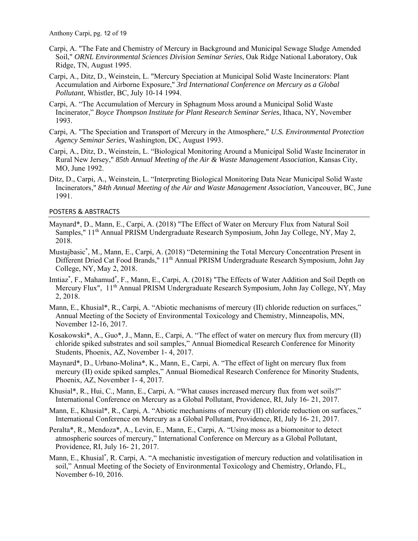- Carpi, A. "The Fate and Chemistry of Mercury in Background and Municipal Sewage Sludge Amended Soil," *ORNL Environmental Sciences Division Seminar Series*, Oak Ridge National Laboratory, Oak Ridge, TN, August 1995.
- Carpi, A., Ditz, D., Weinstein, L. "Mercury Speciation at Municipal Solid Waste Incinerators: Plant Accumulation and Airborne Exposure," *3rd International Conference on Mercury as a Global Pollutant*, Whistler, BC, July 10-14 1994.
- Carpi, A. "The Accumulation of Mercury in Sphagnum Moss around a Municipal Solid Waste Incinerator," *Boyce Thompson Institute for Plant Research Seminar Series*, Ithaca, NY, November 1993.
- Carpi, A. "The Speciation and Transport of Mercury in the Atmosphere," *U.S. Environmental Protection Agency Seminar Series*, Washington, DC, August 1993.
- Carpi, A., Ditz, D., Weinstein, L. "Biological Monitoring Around a Municipal Solid Waste Incinerator in Rural New Jersey," *85th Annual Meeting of the Air & Waste Management Association*, Kansas City, MO, June 1992.
- Ditz, D., Carpi, A., Weinstein, L. "Interpreting Biological Monitoring Data Near Municipal Solid Waste Incinerators," *84th Annual Meeting of the Air and Waste Management Association*, Vancouver, BC, June 1991.

#### POSTERS & ABSTRACTS

- Maynard\*, D., Mann, E., Carpi, A. (2018) "The Effect of Water on Mercury Flux from Natural Soil Samples," 11th Annual PRISM Undergraduate Research Symposium, John Jay College, NY, May 2, 2018.
- Mustajbasic\* , M., Mann, E., Carpi, A. (2018) "Determining the Total Mercury Concentration Present in Different Dried Cat Food Brands," 11<sup>th</sup> Annual PRISM Undergraduate Research Symposium, John Jay College, NY, May 2, 2018.
- Imtiaz<sup>\*</sup>, F., Mahamud<sup>\*</sup>, F., Mann, E., Carpi, A. (2018) "The Effects of Water Addition and Soil Depth on Mercury Flux", 11<sup>th</sup> Annual PRISM Undergraduate Research Symposium, John Jay College, NY, May 2, 2018.
- Mann, E., Khusial\*, R., Carpi, A. "Abiotic mechanisms of mercury (II) chloride reduction on surfaces," Annual Meeting of the Society of Environmental Toxicology and Chemistry, Minneapolis, MN, November 12-16, 2017.
- Kosakowski\*, A., Guo\*, J., Mann, E., Carpi, A. "The effect of water on mercury flux from mercury (II) chloride spiked substrates and soil samples," Annual Biomedical Research Conference for Minority Students, Phoenix, AZ, November 1- 4, 2017.
- Maynard\*, D., Urbano-Molina\*, K., Mann, E., Carpi, A. "The effect of light on mercury flux from mercury (II) oxide spiked samples," Annual Biomedical Research Conference for Minority Students, Phoenix, AZ, November 1- 4, 2017.
- Khusial\*, R., Hui, C., Mann, E., Carpi, A. "What causes increased mercury flux from wet soils?" International Conference on Mercury as a Global Pollutant, Providence, RI, July 16- 21, 2017.
- Mann, E., Khusial\*, R., Carpi, A. "Abiotic mechanisms of mercury (II) chloride reduction on surfaces," International Conference on Mercury as a Global Pollutant, Providence, RI, July 16- 21, 2017.
- Peralta\*, R., Mendoza\*, A., Levin, E., Mann, E., Carpi, A. "Using moss as a biomonitor to detect atmospheric sources of mercury," International Conference on Mercury as a Global Pollutant, Providence, RI, July 16- 21, 2017.
- Mann, E., Khusial\*, R. Carpi, A. "A mechanistic investigation of mercury reduction and volatilisation in soil," Annual Meeting of the Society of Environmental Toxicology and Chemistry, Orlando, FL, November 6-10, 2016.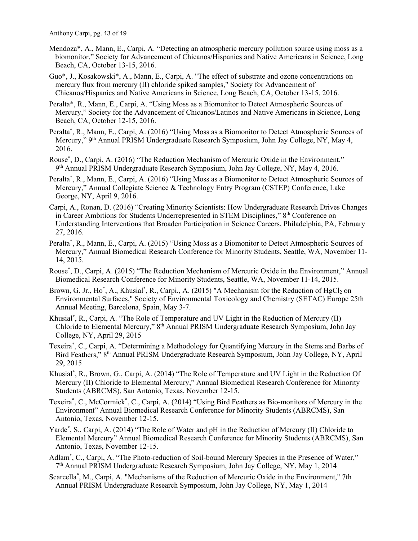- Mendoza\*, A., Mann, E., Carpi, A. "Detecting an atmospheric mercury pollution source using moss as a biomonitor," Society for Advancement of Chicanos/Hispanics and Native Americans in Science, Long Beach, CA, October 13-15, 2016.
- Guo\*, J., Kosakowski\*, A., Mann, E., Carpi, A. "The effect of substrate and ozone concentrations on mercury flux from mercury (II) chloride spiked samples," Society for Advancement of Chicanos/Hispanics and Native Americans in Science, Long Beach, CA, October 13-15, 2016.
- Peralta\*, R., Mann, E., Carpi, A. "Using Moss as a Biomonitor to Detect Atmospheric Sources of Mercury," Society for the Advancement of Chicanos/Latinos and Native Americans in Science, Long Beach, CA, October 12-15, 2016.
- Peralta\* , R., Mann, E., Carpi, A. (2016) "Using Moss as a Biomonitor to Detect Atmospheric Sources of Mercury," 9<sup>th</sup> Annual PRISM Undergraduate Research Symposium, John Jay College, NY, May 4, 2016.
- Rouse\* , D., Carpi, A. (2016) "The Reduction Mechanism of Mercuric Oxide in the Environment,"  $9<sup>th</sup>$  Annual PRISM Undergraduate Research Symposium, John Jay College, NY, May 4, 2016.
- Peralta\* , R., Mann, E., Carpi, A. (2016) "Using Moss as a Biomonitor to Detect Atmospheric Sources of Mercury," Annual Collegiate Science & Technology Entry Program (CSTEP) Conference, Lake George, NY, April 9, 2016.
- Carpi, A., Ronan, D. (2016) "Creating Minority Scientists: How Undergraduate Research Drives Changes in Career Ambitions for Students Underrepresented in STEM Disciplines," 8th Conference on Understanding Interventions that Broaden Participation in Science Careers, Philadelphia, PA, February 27, 2016.
- Peralta\* , R., Mann, E., Carpi, A. (2015) "Using Moss as a Biomonitor to Detect Atmospheric Sources of Mercury," Annual Biomedical Research Conference for Minority Students, Seattle, WA, November 11- 14, 2015.
- Rouse\* , D., Carpi, A. (2015) "The Reduction Mechanism of Mercuric Oxide in the Environment," Annual Biomedical Research Conference for Minority Students, Seattle, WA, November 11-14, 2015.
- Brown, G. Jr., Ho<sup>\*</sup>, A., Khusial<sup>\*</sup>, R., Carpi., A. (2015) "A Mechanism for the Reduction of HgCl<sub>2</sub> on Environmental Surfaces," Society of Environmental Toxicology and Chemistry (SETAC) Europe 25th Annual Meeting, Barcelona, Spain, May 3-7.
- Khusial\* , R., Carpi, A. "The Role of Temperature and UV Light in the Reduction of Mercury (II) Chloride to Elemental Mercury," 8th Annual PRISM Undergraduate Research Symposium, John Jay College, NY, April 29, 2015
- Texeira\* , C., Carpi, A. "Determining a Methodology for Quantifying Mercury in the Stems and Barbs of Bird Feathers," 8<sup>th</sup> Annual PRISM Undergraduate Research Symposium, John Jay College, NY, April 29, 2015
- Khusial\* , R., Brown, G., Carpi, A. (2014) "The Role of Temperature and UV Light in the Reduction Of Mercury (II) Chloride to Elemental Mercury," Annual Biomedical Research Conference for Minority Students (ABRCMS), San Antonio, Texas, November 12-15.
- Texeira\*, C., McCormick\*, C., Carpi, A. (2014) "Using Bird Feathers as Bio-monitors of Mercury in the Environment" Annual Biomedical Research Conference for Minority Students (ABRCMS), San Antonio, Texas, November 12-15.
- Yarde\* , S., Carpi, A. (2014) "The Role of Water and pH in the Reduction of Mercury (II) Chloride to Elemental Mercury" Annual Biomedical Research Conference for Minority Students (ABRCMS), San Antonio, Texas, November 12-15.
- Adlam\* , C., Carpi, A. "The Photo-reduction of Soil-bound Mercury Species in the Presence of Water," 7th Annual PRISM Undergraduate Research Symposium, John Jay College, NY, May 1, 2014
- Scarcella\* , M., Carpi, A. "Mechanisms of the Reduction of Mercuric Oxide in the Environment," 7th Annual PRISM Undergraduate Research Symposium, John Jay College, NY, May 1, 2014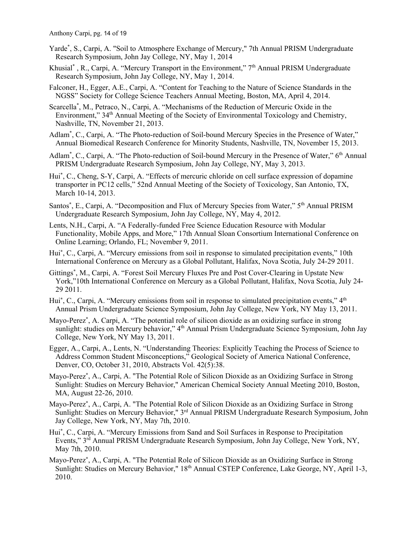- Yarde\* , S., Carpi, A. "Soil to Atmosphere Exchange of Mercury," 7th Annual PRISM Undergraduate Research Symposium, John Jay College, NY, May 1, 2014
- Khusial<sup>\*</sup>, R., Carpi, A. "Mercury Transport in the Environment," 7<sup>th</sup> Annual PRISM Undergraduate Research Symposium, John Jay College, NY, May 1, 2014.
- Falconer, H., Egger, A.E., Carpi, A. "Content for Teaching to the Nature of Science Standards in the NGSS" Society for College Science Teachers Annual Meeting, Boston, MA, April 4, 2014.
- Scarcella\* , M., Petraco, N., Carpi, A. "Mechanisms of the Reduction of Mercuric Oxide in the Environment," 34<sup>th</sup> Annual Meeting of the Society of Environmental Toxicology and Chemistry, Nashville, TN, November 21, 2013.
- Adlam\* , C., Carpi, A. "The Photo-reduction of Soil-bound Mercury Species in the Presence of Water," Annual Biomedical Research Conference for Minority Students, Nashville, TN, November 15, 2013.
- Adlam<sup>\*</sup>, C., Carpi, A. "The Photo-reduction of Soil-bound Mercury in the Presence of Water," 6<sup>th</sup> Annual PRISM Undergraduate Research Symposium, John Jay College, NY, May 3, 2013.
- Hui\* , C., Cheng, S-Y, Carpi, A. "Effects of mercuric chloride on cell surface expression of dopamine transporter in PC12 cells," 52nd Annual Meeting of the Society of Toxicology, San Antonio, TX, March 10-14, 2013.
- Santos**\***, E., Carpi, A. "Decomposition and Flux of Mercury Species from Water," 5th Annual PRISM Undergraduate Research Symposium, John Jay College, NY, May 4, 2012.
- Lents, N.H., Carpi, A. "A Federally-funded Free Science Education Resource with Modular Functionality, Mobile Apps, and More," 17th Annual Sloan Consortium International Conference on Online Learning; Orlando, FL; November 9, 2011.
- Hui**\***, C., Carpi, A. "Mercury emissions from soil in response to simulated precipitation events," 10th International Conference on Mercury as a Global Pollutant, Halifax, Nova Scotia, July 24-29 2011.
- Gittings**\***, M., Carpi, A. "Forest Soil Mercury Fluxes Pre and Post Cover-Clearing in Upstate New York,"10th International Conference on Mercury as a Global Pollutant, Halifax, Nova Scotia, July 24- 29 2011.
- Hui<sup>\*</sup>, C., Carpi, A. "Mercury emissions from soil in response to simulated precipitation events," 4<sup>th</sup> Annual Prism Undergraduate Science Symposium, John Jay College, New York, NY May 13, 2011.
- Mayo-Perez**\***, A. Carpi, A. "The potential role of silicon dioxide as an oxidizing surface in strong sunlight: studies on Mercury behavior," 4<sup>th</sup> Annual Prism Undergraduate Science Symposium, John Jay College, New York, NY May 13, 2011.
- Egger, A., Carpi, A., Lents, N. "Understanding Theories: Explicitly Teaching the Process of Science to Address Common Student Misconceptions," Geological Society of America National Conference, Denver, CO, October 31, 2010, Abstracts Vol. 42(5):38.
- Mayo-Perez**\***, A., Carpi, A. "The Potential Role of Silicon Dioxide as an Oxidizing Surface in Strong Sunlight: Studies on Mercury Behavior," American Chemical Society Annual Meeting 2010, Boston, MA, August 22-26, 2010.
- Mayo-Perez**\***, A., Carpi, A. "The Potential Role of Silicon Dioxide as an Oxidizing Surface in Strong Sunlight: Studies on Mercury Behavior," 3rd Annual PRISM Undergraduate Research Symposium, John Jay College, New York, NY, May 7th, 2010.
- Hui**\***, C., Carpi, A. "Mercury Emissions from Sand and Soil Surfaces in Response to Precipitation Events," 3rd Annual PRISM Undergraduate Research Symposium, John Jay College, New York, NY, May 7th, 2010.
- Mayo-Perez**\***, A., Carpi, A. "The Potential Role of Silicon Dioxide as an Oxidizing Surface in Strong Sunlight: Studies on Mercury Behavior," 18<sup>th</sup> Annual CSTEP Conference, Lake George, NY, April 1-3, 2010.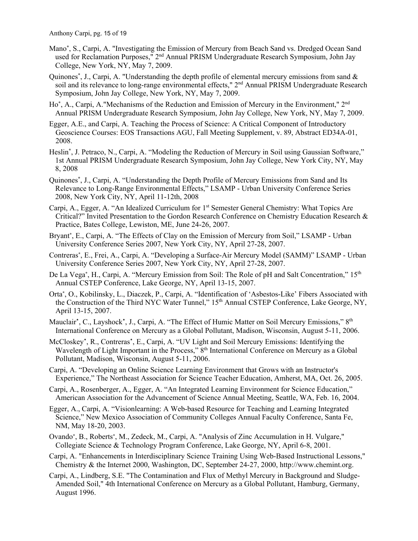- Mano**\***, S., Carpi, A. "Investigating the Emission of Mercury from Beach Sand vs. Dredged Ocean Sand used for Reclamation Purposes," 2<sup>nd</sup> Annual PRISM Undergraduate Research Symposium, John Jay College, New York, NY, May 7, 2009.
- Quinones**\***, J., Carpi, A. "Understanding the depth profile of elemental mercury emissions from sand & soil and its relevance to long-range environmental effects," 2<sup>nd</sup> Annual PRISM Undergraduate Research Symposium, John Jay College, New York, NY, May 7, 2009.
- Ho**\***, A., Carpi, A."Mechanisms of the Reduction and Emission of Mercury in the Environment," 2nd Annual PRISM Undergraduate Research Symposium, John Jay College, New York, NY, May 7, 2009.
- Egger, A.E., and Carpi, A. Teaching the Process of Science: A Critical Component of Introductory Geoscience Courses: EOS Transactions AGU, Fall Meeting Supplement, v. 89, Abstract ED34A-01, 2008.
- Heslin**\***, J. Petraco, N., Carpi, A. "Modeling the Reduction of Mercury in Soil using Gaussian Software," 1st Annual PRISM Undergraduate Research Symposium, John Jay College, New York City, NY, May 8, 2008
- Quinones**\***, J., Carpi, A. "Understanding the Depth Profile of Mercury Emissions from Sand and Its Relevance to Long-Range Environmental Effects," LSAMP - Urban University Conference Series 2008, New York City, NY, April 11-12th, 2008
- Carpi, A., Egger, A. "An Idealized Curriculum for 1st Semester General Chemistry: What Topics Are Critical?" Invited Presentation to the Gordon Research Conference on Chemistry Education Research & Practice, Bates College, Lewiston, ME, June 24-26, 2007.
- Bryant**\***, E., Carpi, A. "The Effects of Clay on the Emission of Mercury from Soil," LSAMP Urban University Conference Series 2007, New York City, NY, April 27-28, 2007.
- Contreras**\***, E., Frei, A., Carpi, A. "Developing a Surface-Air Mercury Model (SAMM)" LSAMP Urban University Conference Series 2007, New York City, NY, April 27-28, 2007.
- De La Vega**\***, H., Carpi, A. "Mercury Emission from Soil: The Role of pH and Salt Concentration," 15th Annual CSTEP Conference, Lake George, NY, April 13-15, 2007.
- Orta**\***, O., Kobilinsky, L., Diaczek, P., Carpi, A. "Identification of 'Asbestos-Like' Fibers Associated with the Construction of the Third NYC Water Tunnel," 15<sup>th</sup> Annual CSTEP Conference, Lake George, NY, April 13-15, 2007.
- Mauclair**\***, C., Layshock**\***, J., Carpi, A. "The Effect of Humic Matter on Soil Mercury Emissions," 8th International Conference on Mercury as a Global Pollutant, Madison, Wisconsin, August 5-11, 2006.
- McCloskey**\***, R., Contreras**\***, E., Carpi, A. "UV Light and Soil Mercury Emissions: Identifying the Wavelength of Light Important in the Process," 8<sup>th</sup> International Conference on Mercury as a Global Pollutant, Madison, Wisconsin, August 5-11, 2006.
- Carpi, A. "Developing an Online Science Learning Environment that Grows with an Instructor's Experience," The Northeast Association for Science Teacher Education, Amherst, MA, Oct. 26, 2005.
- Carpi, A., Rosenberger, A., Egger, A. "An Integrated Learning Environment for Science Education," American Association for the Advancement of Science Annual Meeting, Seattle, WA, Feb. 16, 2004.
- Egger, A., Carpi, A. "Visionlearning: A Web-based Resource for Teaching and Learning Integrated Science," New Mexico Association of Community Colleges Annual Faculty Conference, Santa Fe, NM, May 18-20, 2003.
- Ovando**\***, B., Roberts**\***, M., Zedeck, M., Carpi, A. "Analysis of Zinc Accumulation in H. Vulgare," Collegiate Science & Technology Program Conference, Lake George, NY, April 6-8, 2001.
- Carpi, A. "Enhancements in Interdisciplinary Science Training Using Web-Based Instructional Lessons," Chemistry & the Internet 2000, Washington, DC, September 24-27, 2000, http://www.chemint.org.
- Carpi, A., Lindberg, S.E. "The Contamination and Flux of Methyl Mercury in Background and Sludge-Amended Soil," 4th International Conference on Mercury as a Global Pollutant, Hamburg, Germany, August 1996.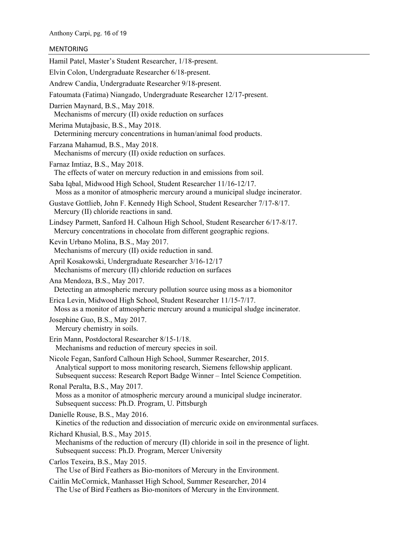## MENTORING

Hamil Patel, Master's Student Researcher, 1/18-present. Elvin Colon, Undergraduate Researcher 6/18-present. Andrew Candia, Undergraduate Researcher 9/18-present. Fatoumata (Fatima) Niangado, Undergraduate Researcher 12/17-present. Darrien Maynard, B.S., May 2018. Mechanisms of mercury (II) oxide reduction on surfaces Merima Mutajbasic, B.S., May 2018. Determining mercury concentrations in human/animal food products. Farzana Mahamud, B.S., May 2018. Mechanisms of mercury (II) oxide reduction on surfaces. Farnaz Imtiaz, B.S., May 2018. The effects of water on mercury reduction in and emissions from soil. Saba Iqbal, Midwood High School, Student Researcher 11/16-12/17. Moss as a monitor of atmospheric mercury around a municipal sludge incinerator. Gustave Gottlieb, John F. Kennedy High School, Student Researcher 7/17-8/17. Mercury (II) chloride reactions in sand. Lindsey Parmett, Sanford H. Calhoun High School, Student Researcher 6/17-8/17. Mercury concentrations in chocolate from different geographic regions. Kevin Urbano Molina, B.S., May 2017. Mechanisms of mercury (II) oxide reduction in sand. April Kosakowski, Undergraduate Researcher 3/16-12/17 Mechanisms of mercury (II) chloride reduction on surfaces Ana Mendoza, B.S., May 2017. Detecting an atmospheric mercury pollution source using moss as a biomonitor Erica Levin, Midwood High School, Student Researcher 11/15-7/17. Moss as a monitor of atmospheric mercury around a municipal sludge incinerator. Josephine Guo, B.S., May 2017. Mercury chemistry in soils. Erin Mann, Postdoctoral Researcher 8/15-1/18. Mechanisms and reduction of mercury species in soil. Nicole Fegan, Sanford Calhoun High School, Summer Researcher, 2015. Analytical support to moss monitoring research, Siemens fellowship applicant. Subsequent success: Research Report Badge Winner – Intel Science Competition. Ronal Peralta, B.S., May 2017. Moss as a monitor of atmospheric mercury around a municipal sludge incinerator. Subsequent success: Ph.D. Program, U. Pittsburgh Danielle Rouse, B.S., May 2016. Kinetics of the reduction and dissociation of mercuric oxide on environmental surfaces. Richard Khusial, B.S., May 2015. Mechanisms of the reduction of mercury (II) chloride in soil in the presence of light. Subsequent success: Ph.D. Program, Mercer University Carlos Texeira, B.S., May 2015. The Use of Bird Feathers as Bio-monitors of Mercury in the Environment. Caitlin McCormick, Manhasset High School, Summer Researcher, 2014 The Use of Bird Feathers as Bio-monitors of Mercury in the Environment.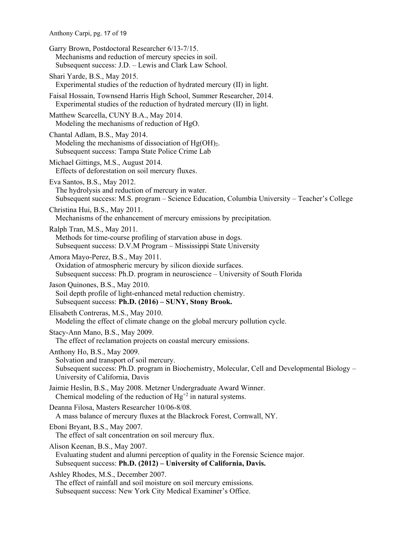Anthony Carpi, pg. 17 of 19

Garry Brown, Postdoctoral Researcher 6/13-7/15. Mechanisms and reduction of mercury species in soil. Subsequent success: J.D. – Lewis and Clark Law School.

Shari Yarde, B.S., May 2015. Experimental studies of the reduction of hydrated mercury (II) in light.

Faisal Hossain, Townsend Harris High School, Summer Researcher, 2014. Experimental studies of the reduction of hydrated mercury (II) in light.

Matthew Scarcella, CUNY B.A., May 2014. Modeling the mechanisms of reduction of HgO.

Chantal Adlam, B.S., May 2014. Modeling the mechanisms of dissociation of  $Hg(OH)<sub>2</sub>$ . Subsequent success: Tampa State Police Crime Lab

Michael Gittings, M.S., August 2014. Effects of deforestation on soil mercury fluxes.

Eva Santos, B.S., May 2012. The hydrolysis and reduction of mercury in water. Subsequent success: M.S. program – Science Education, Columbia University – Teacher's College

Christina Hui, B.S., May 2011.

Mechanisms of the enhancement of mercury emissions by precipitation.

Ralph Tran, M.S., May 2011. Methods for time-course profiling of starvation abuse in dogs. Subsequent success: D.V.M Program – Mississippi State University

Amora Mayo-Perez, B.S., May 2011. Oxidation of atmospheric mercury by silicon dioxide surfaces. Subsequent success: Ph.D. program in neuroscience – University of South Florida

Jason Quinones, B.S., May 2010. Soil depth profile of light-enhanced metal reduction chemistry. Subsequent success: **Ph.D. (2016) – SUNY, Stony Brook.**

Elisabeth Contreras, M.S., May 2010. Modeling the effect of climate change on the global mercury pollution cycle.

Stacy-Ann Mano, B.S., May 2009. The effect of reclamation projects on coastal mercury emissions.

Anthony Ho, B.S., May 2009. Solvation and transport of soil mercury. Subsequent success: Ph.D. program in Biochemistry, Molecular, Cell and Developmental Biology – University of California, Davis

Jaimie Heslin, B.S., May 2008. Metzner Undergraduate Award Winner. Chemical modeling of the reduction of  $Hg^{+2}$  in natural systems.

Deanna Filosa, Masters Researcher 10/06-8/08. A mass balance of mercury fluxes at the Blackrock Forest, Cornwall, NY.

Eboni Bryant, B.S., May 2007. The effect of salt concentration on soil mercury flux.

Alison Keenan, B.S., May 2007. Evaluating student and alumni perception of quality in the Forensic Science major. Subsequent success: **Ph.D. (2012) – University of California, Davis.** 

Ashley Rhodes, M.S., December 2007.

The effect of rainfall and soil moisture on soil mercury emissions. Subsequent success: New York City Medical Examiner's Office.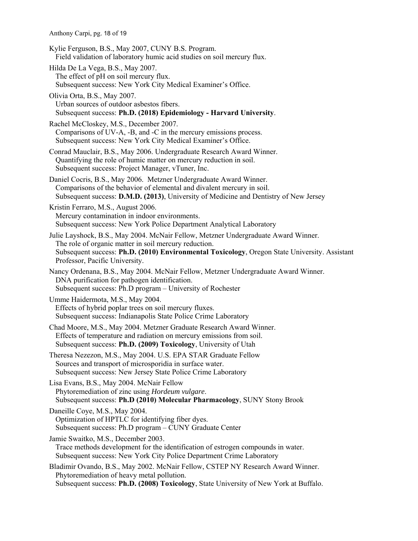Anthony Carpi, pg. 18 of 19 Kylie Ferguson, B.S., May 2007, CUNY B.S. Program. Field validation of laboratory humic acid studies on soil mercury flux. Hilda De La Vega, B.S., May 2007. The effect of pH on soil mercury flux. Subsequent success: New York City Medical Examiner's Office. Olivia Orta, B.S., May 2007. Urban sources of outdoor asbestos fibers. Subsequent success: **Ph.D. (2018) Epidemiology - Harvard University**. Rachel McCloskey, M.S., December 2007. Comparisons of UV-A, -B, and -C in the mercury emissions process. Subsequent success: New York City Medical Examiner's Office. Conrad Mauclair, B.S., May 2006. Undergraduate Research Award Winner. Quantifying the role of humic matter on mercury reduction in soil. Subsequent success: Project Manager, vTuner, Inc. Daniel Cocris, B.S., May 2006. Metzner Undergraduate Award Winner. Comparisons of the behavior of elemental and divalent mercury in soil. Subsequent success: **D.M.D. (2013)**, University of Medicine and Dentistry of New Jersey

Kristin Ferraro, M.S., August 2006. Mercury contamination in indoor environments. Subsequent success: New York Police Department Analytical Laboratory

Julie Layshock, B.S., May 2004. McNair Fellow, Metzner Undergraduate Award Winner. The role of organic matter in soil mercury reduction. Subsequent success: **Ph.D. (2010) Environmental Toxicology**, Oregon State University. Assistant Professor, Pacific University.

Nancy Ordenana, B.S., May 2004. McNair Fellow, Metzner Undergraduate Award Winner. DNA purification for pathogen identification. Subsequent success: Ph.D program – University of Rochester

Umme Haidermota, M.S., May 2004. Effects of hybrid poplar trees on soil mercury fluxes. Subsequent success: Indianapolis State Police Crime Laboratory

Chad Moore, M.S., May 2004. Metzner Graduate Research Award Winner. Effects of temperature and radiation on mercury emissions from soil. Subsequent success: **Ph.D. (2009) Toxicology**, University of Utah

Theresa Nezezon, M.S., May 2004. U.S. EPA STAR Graduate Fellow Sources and transport of microsporidia in surface water. Subsequent success: New Jersey State Police Crime Laboratory

Lisa Evans, B.S., May 2004. McNair Fellow Phytoremediation of zinc using *Hordeum vulgare*. Subsequent success: **Ph.D (2010) Molecular Pharmacology**, SUNY Stony Brook

Daneille Coye, M.S., May 2004. Optimization of HPTLC for identifying fiber dyes. Subsequent success: Ph.D program – CUNY Graduate Center

Jamie Swaitko, M.S., December 2003. Trace methods development for the identification of estrogen compounds in water. Subsequent success: New York City Police Department Crime Laboratory

Bladimir Ovando, B.S., May 2002. McNair Fellow, CSTEP NY Research Award Winner. Phytoremediation of heavy metal pollution. Subsequent success: **Ph.D. (2008) Toxicology**, State University of New York at Buffalo.